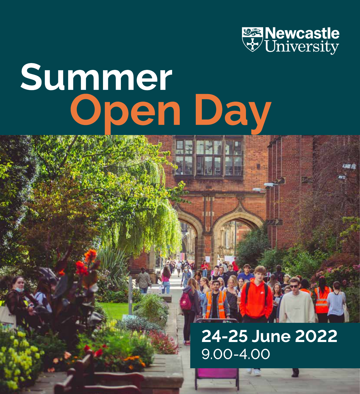

# **Summer<br>Open Day**

# **24-25 June 2022** 9.00-4.00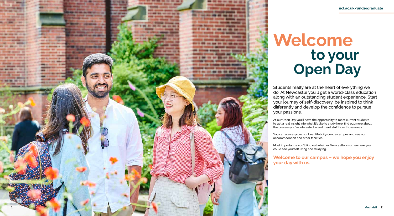# **Welcome to your Open Day**

Students really are at the heart of everything we do. At Newcastle you'll get a world-class education along with an outstanding student experience. Start your journey of self-discovery, be inspired to think differently and develop the confidence to pursue your passions.

At our Open Day you'll have the opportunity to meet current students to get a real insight into what it's like to study here, find out more about the courses you're interested in and meet staff from those areas.

You can also explore our beautiful city-centre campus and see our accommodation and other facilities.

Most importantly, you'll find out whether Newcastle is somewhere you could see yourself living and studying.

**Welcome to our campus – we hope you enjoy your day with us.**

**1**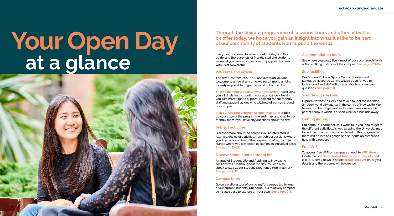# **Your Open Day at a glance**

## **Through the flexible programme of sessions, tours and other activities on offer today, we hope you gain an insight into what it's like to be part of our community of students from around the world.**

Everything you need to know about the day is in this guide, and there are lots of friendly staff and students around if you have any questions. Enjoy your day here with us at Newcastle.

#### **Welcome and arrival**

The day runs from 9.00–4.00 and although you are welcome to arrive at any time, we recommend arriving as early as possible to get the most out of the day.

**There's no need to register when you arrive** – we'll send you a link via text to confirm your attendance – leaving you with more time to explore. Look out for our friendly staff and student guides who will help direct you around our campus.

**Visit our Student Experience Hub (map ref 4)** to pick up your copy of the programme and map, and chat to our friendly team if you have any questions about the day.

#### **Subject activities**

Discover more about the courses you're interested in. Attend a choice of activities, from subject sessions where you'll get an overview of the degrees on offer, to subject stands where you can speak to staff on an individual basis. **See pages 13-22**

#### **Discover more about student life**

A range of Student Life and Applying to Newcastle sessions will run throughout the day. You can also speak to staff at our Student Experience Hub (map ref 4). **See pages 9-12**

#### **Campus tours**

Go on a walking tour of our beautiful campus led by one of our current students. Our campus is relatively compact, so it's also easy to explore on your own. **See pages 7-8**

#### **Accommodation tours**

See where you could live – most of our accommodation is within walking distance of the campus. **See pages 23-24**

#### **See facilities**

Our Students' Union, Sports Centre, libraries and Language Resource Centre will be open for you to look around and staff will be available to answer your questions. **See page 10**

#### **Visit Newcastle Helix**

Explore Newcastle Helix and take a tour of the landmark 24-acre hybrid city quarter in the centre of Newcastle. We have a number of general and subject sessions on this part of campus which is a short walk or a bus ride away.

#### **Getting around**

Our campus is compact, so it won't take you long to get to the different activities. As well as using the University map to find the location of activities listed in this programme, there will be lots of signage and students on campus to help with directions.

#### **Free WiFi**

To access free WiFi on campus connect to **WiFi Guest**, locate the box **Get online at Newcastle University** and click **Go**, scroll down to select **create account** enter your details and the account will be created.

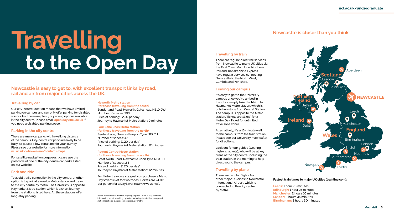# **Travelling<br>to the Open Day**

**Newcastle is easy to get to, with excellent transport links by road, rail and air from major cities across the UK.**

#### **Travelling by car**

Our city-centre location means that we have limited parking on campus and can only offer parking for disabled visitors, but there are plenty of parking options available in the city centre. Please email **open.day@ncl.ac.uk** if you need a disabled parking space.

#### **Parking in the city centre**

There are many car parks within walking distance of the campus. City-centre car parks are likely to be busy, so please allow extra time for your journey. Please see our website for more information **ncl.ac.uk/who-we-are/contact/maps**

For satellite navigation purposes, please use the postcode of one of the city-centre car parks listed on our website.

#### **Park and ride**

To avoid traffic congestion in the city centre, another option is to park at a nearby Metro station and travel to the city centre by Metro. The University is opposite Haymarket Metro station, which is a short journey from the stations listed here. All these stations offer long-stay parking.

#### **Heworth Metro station**

**(for those travelling from the south)** Sunderland Road, Heworth, Gateshead NE10 0YJ Number of spaces: 393 Price of parking: £2.50 per day\* Journey to Haymarket Metro station: 9 minutes

#### **Four Lane Ends Metro station (for those travelling from the north)**

Benton Lane, Newcastle upon Tyne NE7 7UJ Number of spaces: 475 Price of parking: £1.20 per day\* Journey to Haymarket Metro station: 12 minutes

#### **Regent Centre Metro station (for those travelling from the north)**

Great North Road, Newcastle upon Tyne NE3 3PF Number of spaces: 183 Price of parking: £1.20 per day\* Journey to Haymarket Metro station: 12 minutes

For Metro travel we suggest you purchase a Metro DaySaver ticket for two zones. Tickets are £4.70\* per person for a DaySaver return (two zones).

 \*Prices are correct at the time of going to press (June 2022). For more information about travelling by Metro, including timetables, a map and station locations, please see nexus.org.uk/metro

#### **Fastest train times to major UK cities (trainline.com):**

**Leeds:** 1 hour 20 minutes **Edinburgh:** 1 hour 25 minutes **Manchester:** 2 hours 10 minutes **London:** 2 hours 35 minutes **Birmingham:** 3 hours 30 minutes

**Ireland**

# **Newcastle is closer than you think**



#### **Travelling by train**

There are regular direct rail services from Newcastle to many UK cities via the East Coast Main Line. Northern Rail and TransPennine Express have regular services connecting Newcastle to the North West, Cumbria and Yorkshire.

#### **Finding our campus**

It's easy to get to the University campus once you've arrived in the city – simply take the Metro to Haymarket Metro station, which is only two stops from Central Station. The campus is opposite the Metro station. Tickets are £3.60\* for a Metro Day Ticket for unlimited travel (one zone).

Alternatively, it's a 15-minute walk to the campus from the train station. Please see our University map leaflet for directions.

Look out for our guides (wearing high-vis jackets), who will be at key areas of the city centre, including the train station, in the morning to help direct you to the campus.

#### **Travelling by plane**

There are regular flights from other major UK cities to Newcastle International Airport, which is connected to the city centre by Metro.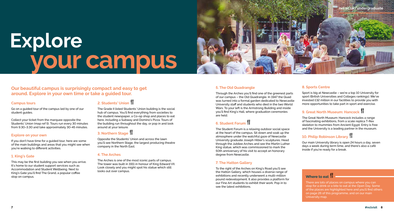## **Our beautiful campus is surprisingly compact and easy to get around. Explore in your own time or take a guided tour.**

Go on a guided tour of the campus led by one of our student guides.

#### **Campus tours**

Collect your ticket from the marquee opposite the Students' Union (map ref 5). Tours run every 30 minutes from 9.30–3.30 and take approximately 30-45 minutes.

#### **Explore on your own**

If you don't have time for a guided tour, here are some of the main buildings and areas that you might see when you're walking to different activities.

#### **1. King's Gate**

This may be the first building you see when you arrive. It's home to our student support services such as Accommodation and Student Wellbeing. Next to King's Gate you'll find The Grand, a popular coffee stop on campus.

# **2. Students' Union**

The Grade II listed Students' Union building is the social hub of campus. You'll find everything from societies to the student newspaper, a Co-op shop and places to eat here, including a Subway and Domino's Pizza. Tours of the building run throughout the day, or pop in and look around at your leisure.

#### **3. Northern Stage |**

Opposite the Students' Union and across the lawn you'll see Northern Stage, the largest producing theatre company in the North East.

#### **4. The Arches**

The Arches is one of the most iconic parts of campus. The tower was built in 1911 in honour of King Edward VII. Look closely and you might spot his statue which still looks out over campus.

#### **5. The Old Quadrangle**

Through the Arches you'll find one of the greenest parts of our campus – the Old Quadrangle. In 1947 the Quad was turned into a formal garden dedicated to Newcastle University staff and students who died in the two World Wars. To your left is the Armstrong Building and inside you'll find King's Hall, where graduation ceremonies are held.

# **6. Student Forum**

The Student Forum is a relaxing outdoor social space at the heart of the campus. Sit down and soak up the atmosphere under the watchful gaze of Newcastle University graduate Joseph Hillier's sculptures. Head through the Jubilee Arches and see the Martin Luther King statue, which was commissioned to mark the 50th anniversary of his visit to accept an honorary degree from Newcastle.

#### **7. The Hatton Gallery**

To the right of the Arches on King's Road you'll see the Hatton Gallery, which houses a diverse range of exhibitions and recently underwent a multi-million pound redevelopment. It also provides a platform for our Fine Art students to exhibit their work. Pop in to see the latest exhibitions.

#### **8. Sports Centre**

Sport is big at Newcastle – we're a top 10 University for sport (British Universities and Colleges rankings). We've invested £32 million in our facilities to provide you with more opportunities to take part in sport and exercise.

# **9. Great North Museum: Hancock**

The Great North Museum: Hancock includes a range of fascinating exhibitions, from a scale replica T-Rex skeleton to mummies from Ancient Egypt. Entry is free and the University is a leading partner in the museum.

# **10. Philip Robinson Library**

Our main University library is open 24 hours a day, seven days a week during term time, and there's also a café inside if you're ready for a break.

# **Where to eat**

There are lots of places on campus where you can stop for a drink or a bite to eat at the Open Day. Some of the places are highlighted here and you'll find others on page 26 of this programme, and on our main University map.

# Explore<br>Vour campus

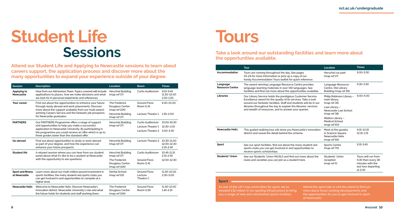# **Student Life Sessions**

# **Tours**

**Attend our Student Life and Applying to Newcastle sessions to learn about careers support, the application process and discover more about the many opportunities to expand your experience outside of your degree.**

# **Take a look around our outstanding facilities and learn more about the opportunities available.**

| <b>Session</b>                    | <b>Description</b>                                                                                                                                                                           | Location                                          | Room                                  | <b>Times</b>                                |
|-----------------------------------|----------------------------------------------------------------------------------------------------------------------------------------------------------------------------------------------|---------------------------------------------------|---------------------------------------|---------------------------------------------|
| Applying to<br><b>Newcastle</b>   | Hear from our Admissions Team. Topics covered will include<br>applications to places, how we make decisions and what<br>we look for in personal statements and references.                   | Herschel Building<br>(map ref 17)                 | <b>Curtis Auditorium</b>              | 9.15-9.45<br>11.30-12.00<br>1.00-1.30       |
| Your career                       | Find out about the opportunities to enhance your future<br>through study abroad and work placements. Discover<br>more about the support available from our multi award-                      | The Frederick<br>Douglass Centre<br>(map ref 106) | Ground Floor.<br>Room G.41            | 9.30-10.00                                  |
|                                   | winning Careers Service and the fantastic job prospects<br>for Newcastle graduates.                                                                                                          | <b>Herschel Building</b><br>(map ref 17)          | Lecture Theatre 1                     | 1.30-2.00                                   |
| <b>PARTNERS</b>                   | Our PARTNERS Programme offers a range of support                                                                                                                                             | <b>Herschel Building</b>                          | Curtis Auditorium                     | 10.00-10.30                                 |
|                                   | and opportunities to help you make a successful<br>application to Newcastle University. By participating in                                                                                  | (map ref 17)                                      | Lecture Theatre 1                     | 12.30-1.00                                  |
|                                   | the programme you could receive an offer which is up to<br>three grades lower than the standard offer.                                                                                       |                                                   | Lecture Theatre 2                     | 3.00-3.30                                   |
| Go abroad                         | Find out about opportunities to study or work abroad<br>as part of your degree, and how the experience can<br>enhance your future prospects.                                                 | <b>Herschel Building</b><br>(map ref 17)          | Lecture Theatre 2                     | 10.30-11.00<br>12.00-12.30<br>$2.15 - 2.45$ |
| <b>Student life</b>               | A relaxed session where you can hear from our student<br>panel about what it's like to be a student at Newcastle<br>with the opportunity to ask questions.                                   | <b>Herschel Building</b><br>(map ref 17)          | <b>Curtis Auditorium</b>              | 10.45-11.15<br>$2.15 - 2.45$                |
|                                   |                                                                                                                                                                                              | The Frederick<br>Douglass Centre<br>(map ref 106) | Ground Floor.<br>Room G.41            | 12.00-12.30                                 |
| Sport and fitness<br>at Newcastle | Learn more about our multi-million pound investment in<br>sports facilities, the many student-led sports clubs you<br>can get involved in and opportunities to compete at a<br>higher level. | Dental School<br>(map ref 63)                     | Ground Floor.<br>Lecture<br>Theatre C | 11.30-12.00<br>2.30-3.00                    |
| <b>Newcastle Helix</b>            | Welcome to Newcastle Helix, Discover Newcastle's<br>innovation district, Newcastle University's role and what<br>the future holds for students and staff working there.                      | The Frederick<br>Douglass Centre<br>(map ref 106) | Ground Floor.<br>Room G.56            | 11.30-12.00<br>1.45-2.15                    |

|                                    | <b>Tour</b>                                                                                                                                                                                       | Location                                                                    | <b>Times</b>                                                                                    |
|------------------------------------|---------------------------------------------------------------------------------------------------------------------------------------------------------------------------------------------------|-----------------------------------------------------------------------------|-------------------------------------------------------------------------------------------------|
| Accommodation                      | Tours are running throughout the day. See pages<br>23-24 for more information or pick up a copy of our<br>handy Accommodation Tours leaflet for quick reference.                                  | Herschel car park<br>(map ref 17)                                           | $9.00 - 3.30$                                                                                   |
| Language<br><b>Resource Centre</b> | The award-winning Language Resource Centre provides<br>language-learning materials in over 150 languages. See<br>facilities and find out more about the opportunities available.                  | Language Resource<br>Centre, Old Library<br>Building (map ref 26)           | 9.30-3.30                                                                                       |
| <b>Libraries</b>                   | Our Library Service holds the prestigious Customer Service<br>Excellence award for the quality of its services. Take a look<br>around our fantastic facilities. Staff and students will be in our | Philip Robinson Library -<br>main library<br>(map ref 35)                   | $9.00 - 4.00$                                                                                   |
|                                    | libraries throughout the day to explain the libraries' services<br>and wealth of resources, and to answer your queries.                                                                           | Law Library -<br>Newcastle Law School<br>(map ref 38)                       |                                                                                                 |
|                                    |                                                                                                                                                                                                   | Walton Library -<br><b>Medical School</b><br>(map ref 60)                   |                                                                                                 |
| <b>Newcastle Helix</b>             | This guided walking tour will show you Newcastle's innovation<br>district and reveal the detail behind the scheme.                                                                                | Meet at the gazebo<br>in Science Square,<br>Newcastle Helix<br>(map ref 66) | 9.15-10.15<br>12.15-1.15                                                                        |
| Sport                              | See our sport facilities, find out about the many student-led<br>sports clubs you can get involved in and opportunities to<br>receive sports scholarships.                                        | <b>Sports Centre</b><br>(map ref 70)                                        | $9.15 - 3.45$                                                                                   |
| <b>Students' Union</b>             | See our Students' Union (NUSU) and find out more about the<br>clubs and societies you can join as a student here.                                                                                 | Students' Union<br>reception<br>(map ref 5)                                 | Tours will run from<br>9.30 then every 30<br>minutes with the<br>last tour departing<br>at 2.30 |

#### **Sport**

As one of the UK's top universities for sport, we've invested £32 million in our sporting infrastructure to bring you a range of new and refurbished sports facilities.

Attend the sport talk or visit the stand to find out more about these exciting developments and the opportunities for you to get involved in sport at Newcastle.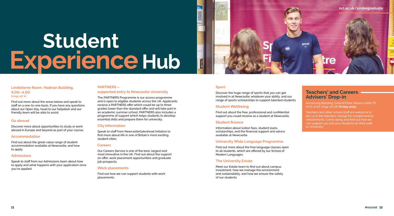#### **Lindisfarne Room, Hadrian Building, 9.00– 4.00 (map ref 4)**

Find out more about the areas below and speak to staff on a one-to-one basis. If you have any questions about our Open Day, head to our helpdesk and our friendly team will be able to assist.

#### **Go abroad**

Discover more about opportunities to study or work abroad in Europe and beyond as part of your course.

#### **Accommodation**

Find out about the great-value range of student accommodation available at Newcastle, and how to apply.

#### **Admissions**

Speak to staff from our Admissions team about how to apply and what happens with your application once you've applied.

#### **PARTNERS –**

#### **supported entry to Newcastle University**

The PARTNERS Programme is our access programme and is open to eligible students across the UK. Applicants receive a PARTNERS offer which could be up to three grades lower than the standard offer and will take part in an academic summer school. PARTNERS also includes a programme of support which helps students to develop essential skills and prepare them for university.

#### **City information**

Speak to staff from NewcastleGateshead Initiative to find more about life in one of Britain's most exciting student cities.

#### **Careers**

Our Careers Service is one of the best, largest and most innovative in the UK. Find out about the support on offer, work placement opportunities and graduate job prospects.

#### **Work placements**

Find out how we can support students with work placements.

#### **Sport**

Discover the huge range of sports that you can get involved in at Newcastle, whatever your ability, and our range of sports scholarships to support talented students.

#### **Student Wellbeing**

Find out about the free, professional and confidential support you could receive as a student at Newcastle.

#### **Student finance**

Information about tuition fees, student loans, scholarships, and the financial support and advice available at Newcastle.

#### **University Wide Language Programme**

Find out more about the free language classes open to all students, which are offered by our School of Modern Languages.

#### **The University Estate**

Meet our Estate team to find out about campus investment, how we manage the environment and sustainability, and how we ensure the safety of our students.

## **Teachers' and Careers Advisers' Drop-in**

Armstrong Building, Ground Floor, Rooms G.69/70 9.00-4.00, (map ref 22) **(Friday only)**.

Teachers and other school staff are welcome to join us in the teachers' lounge for complimentary refreshments. Come along and find out how we can support you and your students on their path to University.

# Student Experience Hub

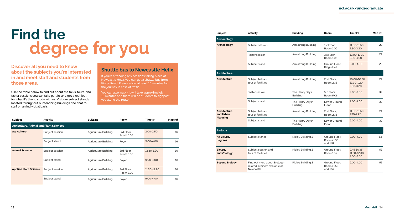**Discover all you need to know about the subjects you're interested in and meet staff and students from those areas.** 

Use the table below to find out about the talks, tours, and taster sessions you can take part in, and get a real feel for what it's like to study with us. Visit our subject stands located throughout our teaching buildings and chat to staff on an individual basis.

If you're attending any sessions taking place at Newcastle Helix, you can get a shuttle bus from King's Road. Please allow at least 15 minutes for the journey in case of traffic.

## **Shuttle bus to Newcastle Helix**

You can also walk - it will take approximately 15 minutes and there will be students to signpost you along the route.

| Subject                                       | Activity        | <b>Building</b>             | Room                    | Time(s)       | Map ref |
|-----------------------------------------------|-----------------|-----------------------------|-------------------------|---------------|---------|
| <b>Agriculture, Animal and Plant Sciences</b> |                 |                             |                         |               |         |
| <b>Agriculture</b>                            | Subject session | <b>Agriculture Building</b> | 3rd Floor.<br>Room 3.02 | $2.00 - 2.50$ | 16      |
|                                               | Subject stand   | Agriculture Building        | Foyer                   | $9.00 - 4.00$ | 16      |
| <b>Animal Science</b>                         | Subject session | Agriculture Building        | 3rd Floor,<br>Room 3.05 | 12.30-1.20    | 16      |
|                                               | Subject stand   | Agriculture Building        | Foyer                   | $9.00 - 4.00$ | 16      |
| <b>Applied Plant Science</b>                  | Subject session | Agriculture Building        | 3rd Floor.<br>Room 3.02 | 11.30-12.20   | 16      |
|                                               | Subject stand   | Agriculture Building        | Foyer                   | $9.00 - 4.00$ | 16      |

| <b>Subject</b>                | Activity                                                                    | <b>Building</b>                    | Room                                           | Time(s)                                | Map ref |
|-------------------------------|-----------------------------------------------------------------------------|------------------------------------|------------------------------------------------|----------------------------------------|---------|
| Archaeology                   |                                                                             |                                    |                                                |                                        |         |
| Archaeology                   | Subject session                                                             | Armstrong Building                 | 1st Floor.<br>Room 1.06                        | 11.00-11.50<br>$2.30 - 3.20$           | 22      |
|                               | <b>Taster session</b>                                                       | Armstrong Building                 | 1st Floor.<br>Room 1.06                        | 12.00-12.30<br>3.30-4.00               | 22      |
|                               | Subject stand                                                               | Armstrong Building                 | Ground Floor.<br>King's Hall                   | 9.00-4.00                              | 22      |
| Architecture                  |                                                                             |                                    |                                                |                                        |         |
| Architecture                  | Subject talk and<br>tour of facilities                                      | Armstrong Building                 | 2nd Floor.<br>Room 2.16                        | 10.00-10.50<br>12.30-1.20<br>2.30-3.20 | 22      |
|                               | <b>Taster session</b>                                                       | The Henry Daysh<br><b>Building</b> | 5th Floor.<br>Room 5.08                        | 2.00-3.00                              | 32      |
|                               | Subject stand                                                               | The Henry Daysh<br><b>Building</b> | Lower Ground<br>Floor                          | $9.00 - 4.00$                          | 32      |
| Architecture<br>and Urban     | Subject talk and<br>tour of facilities                                      | Armstrong Building                 | 2nd Floor.<br>Room 2.16                        | 11.00-11.50<br>1.30-2.20               | 22      |
| Planning                      | Subject stand                                                               | The Henry Daysh<br><b>Building</b> | Lower Ground<br>Floor                          | 9.00-4.00                              | 32      |
| <b>Biology</b>                |                                                                             |                                    |                                                |                                        |         |
| <b>All Biology</b><br>degrees | Subject stands                                                              | <b>Ridley Building 2</b>           | Ground Floor.<br>Rooms 1.55<br>and 1.57        | $9.00 - 4.00$                          | 52      |
| <b>Biology</b><br>and Zoology | Subject session and<br>tour of facilities                                   | <b>Ridley Building 2</b>           | Ground Floor.<br><b>Room 1.65</b>              | 9.45-10.45<br>11.30-12.30<br>2.00-3.00 | 52      |
| <b>Beyond Biology</b>         | Find out more about Biology-<br>related subjects available at<br>Newcastle. | <b>Ridley Building 2</b>           | Ground Floor,<br><b>Rooms 1.55</b><br>and 1.57 | 9.00-4.00                              | 52      |

# **Find the degree for you**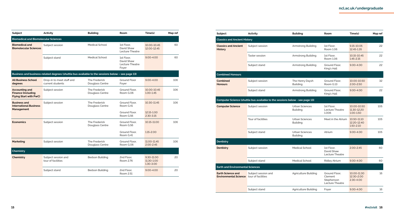| <b>Subject</b>                                                                      | Activity                                                                                          | <b>Building</b>                  | Room                                                        | Time(s)                               | Map ref |
|-------------------------------------------------------------------------------------|---------------------------------------------------------------------------------------------------|----------------------------------|-------------------------------------------------------------|---------------------------------------|---------|
| <b>Biomedical and Biomolecular Sciences</b>                                         |                                                                                                   |                                  |                                                             |                                       |         |
| <b>Biomedical and</b><br><b>Biomolecular Sciences</b>                               | Subject session                                                                                   | <b>Medical School</b>            | 1st Floor.<br>David Shaw<br>Lecture Theatre                 | 10.00-10.45<br>12.00-12.45            | 60      |
|                                                                                     | Subject stand                                                                                     | <b>Medical School</b>            | 1st Floor.<br>David Shaw<br><b>Lecture Theatre</b><br>Fover | $9.00 - 4.00$                         | 60      |
|                                                                                     | Business and business-related degrees (shuttle bus available to the sessions below - see page 13) |                                  |                                                             |                                       |         |
| <b>All Business School</b><br>degrees                                               | Drop-in to meet staff and<br>current students                                                     | The Frederick<br>Douglass Centre | <b>Ground Floor</b><br>Foyer                                | $9.00 - 4.00$                         | 106     |
| <b>Accounting and</b><br><b>Finance (including</b><br><b>Flying Start with PwC)</b> | Subject session                                                                                   | The Frederick<br>Douglass Centre | Ground Floor.<br>Room G.06                                  | 10.00-10.45<br>1.00-1.45              | 106     |
| <b>Business and</b><br><b>International Business</b><br><b>Management</b>           | Subject session                                                                                   | The Frederick<br>Douglass Centre | Ground Floor.<br>Room G.41                                  | 10.30-11.45                           | 106     |
|                                                                                     |                                                                                                   |                                  | Ground Floor.<br>Room G.56                                  | 12.15-1.00<br>$2.30 - 3.15$           |         |
| <b>Economics</b>                                                                    | Subject session                                                                                   | The Frederick<br>Douglass Centre | Ground Floor.<br>Room G.56                                  | 10.15-11.00                           | 106     |
|                                                                                     |                                                                                                   |                                  | Ground Floor.<br>Room G.41                                  | 1.15-2.00                             |         |
| <b>Marketing</b>                                                                    | Subject session                                                                                   | The Frederick<br>Douglass Centre | Ground Floor.<br>Room G.06                                  | 11.00-11.45<br>$2.00 - 2.45$          | 106     |
| <b>Chemistry</b>                                                                    |                                                                                                   |                                  |                                                             |                                       |         |
| Chemistry                                                                           | Subject session and<br>tour of facilities                                                         | <b>Bedson Building</b>           | 2nd Floor.<br>Room 2.76                                     | 9.30-11.00<br>11.30-1.00<br>1.30-3.00 | 20      |
|                                                                                     | Subject stand                                                                                     | <b>Bedson Building</b>           | 2nd Floor.<br>Room 2.51                                     | $9.00 - 4.00$                         | 20      |

| Subject                                                                     | Activity                                                                     | <b>Building</b>                          | Room                                                      | Time(s)                                    | Map ref |
|-----------------------------------------------------------------------------|------------------------------------------------------------------------------|------------------------------------------|-----------------------------------------------------------|--------------------------------------------|---------|
| <b>Classics and Ancient History</b>                                         |                                                                              |                                          |                                                           |                                            |         |
| <b>Classics and Ancient</b><br><b>History</b>                               | Subject session                                                              | Armstrong Building                       | 1st Floor,<br>Room 1.06                                   | 9.15-10.05<br>12.45-1.35                   | 22      |
|                                                                             | <b>Taster session</b>                                                        | Armstrong Building                       | 1st Floor.<br>Room 1.06                                   | 10.15-10.45<br>$1.45 - 2.15$               | 22      |
|                                                                             | Subject stand                                                                | Armstrong Building                       | Ground Floor.<br>King's Hall                              | $9.00 - 4.00$                              | 22      |
| <b>Combined Honours</b>                                                     |                                                                              |                                          |                                                           |                                            |         |
| <b>Combined</b><br><b>Honours</b>                                           | Subject session                                                              | The Henry Daysh<br><b>Building</b>       | Ground Floor.<br>Room G.13                                | 10.00-10.50<br>$2.00 - 2.50$               | 32      |
|                                                                             | Subject stand                                                                | Armstrong Building                       | Ground Floor.<br>King's Hall                              | $9.00 - 4.00$                              | 22      |
|                                                                             | Computer Science (shuttle bus available to the sessions below - see page 13) |                                          |                                                           |                                            |         |
| <b>Computer Science</b>                                                     | Subject session                                                              | <b>Urban Sciences</b><br><b>Building</b> | 1st Floor.<br>Lecture Theatre<br>1.006                    | 10.00-10.50<br>11.30-12.20<br>1.00-1.50    | 105     |
|                                                                             | Tour of facilities                                                           | <b>Urban Sciences</b><br><b>Building</b> | Meet in the Atrium                                        | 10.50-11.10<br>12.20-12.40<br>1.50-2.10    | 105     |
|                                                                             | Subject stand                                                                | <b>Urban Sciences</b><br><b>Building</b> | Atrium                                                    | $9.00 - 4.00$                              | 105     |
| <b>Dentistry</b>                                                            |                                                                              |                                          |                                                           |                                            |         |
| <b>Dentistry</b>                                                            | Subject session                                                              | <b>Medical School</b>                    | 1st Floor.<br>David Shaw<br>Lecture Theatre               | $2.00 - 2.45$                              | 60      |
|                                                                             | Subject stand                                                                | Medical School                           | <b>Ridley Atrium</b>                                      | $9.00 - 4.00$                              | 60      |
| <b>Earth and Environmental Sciences</b>                                     |                                                                              |                                          |                                                           |                                            |         |
| <b>Earth Science and</b><br><b>Environmental Science</b> tour of facilities | Subject session and                                                          | <b>Agriculture Building</b>              | Ground Floor.<br>Clement<br>Stephenson<br>Lecture Theatre | 10.00-11.30<br>12.30-2.00<br>$2.30 - 4.00$ | 16      |
|                                                                             | Subject stand                                                                | <b>Agriculture Building</b>              | Foyer                                                     | $9.00 - 4.00$                              | 16      |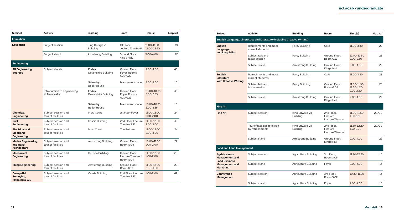| Subject                                                          | Activity                                    | <b>Building</b>                   | Room                                            | Time(s)                      | Map ref |
|------------------------------------------------------------------|---------------------------------------------|-----------------------------------|-------------------------------------------------|------------------------------|---------|
| <b>Education</b>                                                 |                                             |                                   |                                                 |                              |         |
| <b>Education</b>                                                 | Subject session                             | King George VI<br><b>Building</b> | 1st Floor.<br>Lecture Theatre 5                 | 11.00-11.50<br>12.00-12.50   | 19      |
|                                                                  | Subject stand                               | Armstrong Building                | Ground Floor,<br>King's Hall                    | $9.00 - 4.00$                | 22      |
| <b>Engineering</b>                                               |                                             |                                   |                                                 |                              |         |
| <b>All Engineering</b><br>degrees                                | Subject stands                              | Friday:<br>Devonshire Building    | <b>Ground Floor</b><br>Fover, Rooms<br>G21/G22  | $9.00 - 4.00$                | 48      |
|                                                                  |                                             | Saturday:<br><b>Boiler House</b>  | Main event space                                | $9.00 - 4.00$                | 10      |
|                                                                  | Introduction to Engineering<br>at Newcastle | Friday:<br>Devonshire Building    | <b>Ground Floor</b><br>Foyer, Rooms<br>G21/G22  | 10.00-10.35<br>$2.00 - 2.35$ | 48      |
|                                                                  |                                             | Saturday:<br><b>Boiler House</b>  | Main event space                                | 10.00-10.35<br>$2.00 - 2.35$ | 10      |
| <b>Chemical</b><br><b>Engineering</b>                            | Subject session and<br>tour of facilities   | Merz Court                        | 1st Floor Foyer                                 | 11.00-12.00<br>1.00-2.00     | 24      |
| <b>Civil</b><br><b>Engineering</b>                               | Subject session and<br>tour of facilities   | Cassie Building                   | 2nd Floor, Lecture<br>Theatre 2.32              | 11.00-12.00<br>2.00-3.00     | 49      |
| <b>Electrical and</b><br><b>Electronic</b><br><b>Engineering</b> | Subject session and<br>tour of facilities   | Merz Court                        | The Buttery                                     | 11.00-12.00<br>$2.00 - 3.00$ | 24      |
| <b>Marine Engineering</b><br>and Naval<br>Architecture           | Subject session and<br>tour of facilities   | Armstrong Building                | Ground Floor,<br>Room G.08                      | 10.00-11.00<br>1.00-2.00     | 22      |
| <b>Mechanical</b><br><b>Engineering</b>                          | Subject session and<br>tour of facilities   | <b>Bedson Building</b>            | Ground Floor.<br>Lecture Theatre 1<br>Room G.04 | 11.00-12.00<br>1.00-2.00     | 20      |
| <b>MEng Engineering</b>                                          | Subject session and<br>tour of facilities   | Armstrong Building                | Ground Floor.<br>Room G.17                      | 11.00-12.00<br>$2.00 - 3.00$ | 22      |
| Geospatial<br>Surveying,<br><b>Mapping &amp; GIS</b>             | Subject session and<br>tour of facilities   | Cassie Building                   | 2nd Floor, Lecture<br>Theatre 2.33              | 1.00-2.00                    | 49      |

| Subject                                                           | Activity                                                                  | <b>Building</b>                    | Room                                             | Time(s)                                    | Map ref |
|-------------------------------------------------------------------|---------------------------------------------------------------------------|------------------------------------|--------------------------------------------------|--------------------------------------------|---------|
|                                                                   | English Language, Linguistics and Literature (including Creative Writing) |                                    |                                                  |                                            |         |
| <b>English</b><br>Language                                        | Refreshments and meet<br>current students                                 | Percy Building                     | Café                                             | 11.00-3.30                                 | 23      |
| and Linguistics                                                   | Subject talk and<br>taster session                                        | Percy Building                     | Ground Floor.<br>Room G.13                       | 12.00-12.50<br>$2.00 - 2.50$               | 23      |
|                                                                   | Subject stand                                                             | Armstrong Building                 | Ground Floor.<br>King's Hall                     | 9.00-4.00                                  | 22      |
| <b>English</b><br><b>Literature</b>                               | Refreshments and meet<br>current students                                 | Percy Building                     | Café                                             | 11.00-3.30                                 | 23      |
| with Creative Writing                                             | Subject talk and<br>taster session                                        | Percy Building                     | Ground Floor.<br>Room G.05                       | 11.00-11.50<br>12.30-1.20<br>$2.30 - 3.20$ | 23      |
|                                                                   | Subject stand                                                             | Armstrong Building                 | Ground Floor,<br>King's Hall                     | 9.00-4.00                                  | 22      |
| <b>Fine Art</b>                                                   |                                                                           |                                    |                                                  |                                            |         |
| <b>Fine Art</b>                                                   | Subject session                                                           | King Edward VII<br><b>Building</b> | 2nd Floor.<br>Fine Art<br><b>Lecture Theatre</b> | 11.00-11.50<br>1.00-1.50                   | 29/30   |
|                                                                   | Tour of facilities followed<br>by refreshments                            | King Edward VII<br><b>Building</b> | 2nd Floor,<br>Fine Art<br>Lecture Theatre        | 11.50-12.20<br>1.50-2.20                   | 29/30   |
|                                                                   | Subject stand                                                             | Armstrong Building                 | Ground Floor.<br>King's Hall                     | 9.00-4.00                                  | 22      |
| <b>Food and Land Management</b>                                   |                                                                           |                                    |                                                  |                                            |         |
| <b>Agri-business</b><br><b>Management and</b>                     | Subject session                                                           | Agriculture Building               | 3rd Floor.<br>Room 3.05                          | 11.30-12.20                                | 16      |
| <b>Food Business</b><br><b>Management and</b><br><b>Marketing</b> | Subject stand                                                             | Agriculture Building               | Foyer                                            | 9.00-4.00                                  | 16      |
| Countryside<br><b>Management</b>                                  | Subject session                                                           | Agriculture Building               | 3rd Floor.<br>Room 3.02                          | 10.30-11.20                                | 16      |
|                                                                   | Subject stand                                                             | Agriculture Building               | Foyer                                            | $9.00 - 4.00$                              | 16      |
|                                                                   |                                                                           |                                    |                                                  |                                            |         |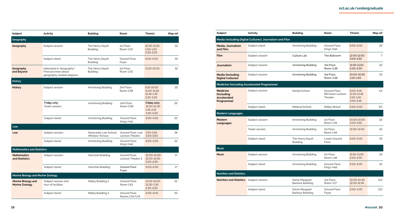| Subject                                            | Activity                                                                      | <b>Building</b>                                 | Room                                 | Time(s)                                                       | Map ref |
|----------------------------------------------------|-------------------------------------------------------------------------------|-------------------------------------------------|--------------------------------------|---------------------------------------------------------------|---------|
| Geography                                          |                                                                               |                                                 |                                      |                                                               |         |
| Geography                                          | Subject session                                                               | The Henry Daysh<br><b>Building</b>              | 1st Floor.<br>Room 1.02              | 10.30-11.20<br>1.00-1.50<br>$2.30 - 3.20$                     | 32      |
|                                                    | Subject stand                                                                 | The Henry Daysh<br><b>Building</b>              | <b>Ground Floor</b><br>Foyer         | $9.00 - 4.00$                                                 | 32      |
| Geography<br>and Beyond                            | Interested in Geography?<br>Find out more about<br>geography-related degrees. | The Henry Daysh<br><b>Building</b>              | 1st Floor,<br>Room 1.02              | 11.20-12.00                                                   | 32      |
| <b>History</b>                                     |                                                                               |                                                 |                                      |                                                               |         |
| <b>History</b>                                     | Subject session                                                               | Armstrong Building                              | 2nd Floor,<br><b>Room 2.98</b>       | 9.15-10.05<br>11.00-11.50<br>12.45-1.35<br>$2.30 - 3.20$      | 22      |
|                                                    | Friday only:<br><b>Taster session</b>                                         | Armstrong Building                              | 2nd Floor,<br><b>Room 2.98</b>       | Friday only:<br>12.00-12.30<br>$1.45 - 2.15$<br>$3.30 - 4.00$ | 22      |
|                                                    | Subject stand                                                                 | Armstrong Building                              | Ground Floor,<br>King's Hall         | $9.00 - 4.00$                                                 | 22      |
| Law                                                |                                                                               |                                                 |                                      |                                                               |         |
| Law                                                | Subject session                                                               | Newcastle Law School.<br><b>Windsor Terrace</b> | Ground Floor, Law<br>Lecture Theatre | 1.00-1.50<br>$3.00 - 3.50$                                    | 38      |
|                                                    | Subject stand                                                                 | Armstrong Building                              | Ground Floor,<br>King's Hall         | $9.00 - 4.00$                                                 | 22      |
| <b>Mathematics and Statistics</b>                  |                                                                               |                                                 |                                      |                                                               |         |
| <b>Mathematics</b><br>and Statistics               | Subject session                                                               | <b>Herschel Building</b>                        | Ground Floor.<br>Lecture Theatre 3   | 10.00-10.50<br>12.00-12.50<br>$2.00 - 2.50$                   | 17      |
|                                                    | Subject stand                                                                 | <b>Herschel Building</b>                        | Ground Floor<br>Foyer                | $9.00 - 4.00$                                                 | 17      |
| <b>Marine Biology and Marine Zoology</b>           |                                                                               |                                                 |                                      |                                                               |         |
| <b>Marine Biology and</b><br><b>Marine Zoology</b> | Subject session and<br>tour of facilities                                     | <b>Ridley Building 2</b>                        | Ground Floor.<br>Room 1.63           | 11.00-12.00<br>12.30-1.30<br>2.30-3.30                        | 52      |
|                                                    | Subject stand                                                                 | <b>Ridley Building 2</b>                        | Ground Floor.<br>Rooms 1.51/1.53     | $9.00 - 4.00$                                                 | 52      |

| Subject                                                                        | Activity                                                | <b>Building</b>                    | Room                                                | Time(s)                                                        | Map ref        |
|--------------------------------------------------------------------------------|---------------------------------------------------------|------------------------------------|-----------------------------------------------------|----------------------------------------------------------------|----------------|
|                                                                                | Media (including Digital Cultures), Journalism and Film |                                    |                                                     |                                                                |                |
| <b>Media, Journalism</b><br>and Film                                           | Subject stand                                           | Armstrong Building                 | Ground Floor.<br>King's Hall                        | $9.00 - 4.00$                                                  | 22             |
| <b>Film</b>                                                                    | Subject session                                         | <b>Culture Lab</b>                 | The Ballroom                                        | 12.00-12.50<br>3.00-3.50                                       | $\overline{7}$ |
| <b>Journalism</b>                                                              | Subject session                                         | Armstrong Building                 | 3rd Floor,<br>Room 3.38                             | 11.00-11.50<br>$2.00 - 2.50$                                   | 22             |
| <b>Media (including</b><br><b>Digital Cultures)</b>                            | Subject session                                         | Armstrong Building                 | 3rd Floor,<br>Room 3.38                             | 10.00-10.50<br>1.00-1.50                                       | 22             |
|                                                                                | <b>Medicine (including Accelerated Programme)</b>       |                                    |                                                     |                                                                |                |
| <b>Medicine</b><br><i><b>Including</b></i><br><b>Accelerated</b><br>Programme) | Subject session                                         | Dental School                      | Ground Floor.<br><b>RB Green Lecture</b><br>Theatre | $9.00 - 9.45$<br>11.00-11.45<br>$1.00 - 1.45$<br>$3.00 - 3.45$ | 63             |
|                                                                                | Subject stand                                           | <b>Medical School</b>              | <b>Ridley Atrium</b>                                | $9.00 - 4.00$                                                  | 60             |
| <b>Modern Languages</b>                                                        |                                                         |                                    |                                                     |                                                                |                |
| <b>Modern</b><br>Languages                                                     | Subject session                                         | Armstrong Building                 | 1st Floor,<br>Room 1.49                             | 10.00-10.50<br>$3.00 - 3.50$                                   | 22             |
|                                                                                | <b>Taster session</b>                                   | Armstrong Building                 | 1st Floor.<br>Room 1.49                             | 12.00-12.40                                                    | 22             |
|                                                                                | Subject stand                                           | The Henry Daysh<br><b>Building</b> | Lower Ground<br>Floor                               | $9.00 - 4.00$                                                  | 32             |
| <b>Music</b>                                                                   |                                                         |                                    |                                                     |                                                                |                |
| <b>Music</b>                                                                   | Subject session                                         | Armstrong Building                 | 1st Floor.<br><b>Room 1.48</b>                      | 11.00-11.50<br>$2.00 - 2.50$                                   | 22             |
|                                                                                | Subject stand                                           | Armstrong Building                 | Ground Floor.<br>King's Hall                        | $9.00 - 4.00$                                                  | 22             |
| <b>Nutrition and Dietetics</b>                                                 |                                                         |                                    |                                                     |                                                                |                |
| <b>Nutrition and Dietetics</b>                                                 | Subject session                                         | Dame Margaret<br>Barbour Building  | 3rd Floor,<br>Room 3.17                             | 10.00-10.45<br>12.00-12.45                                     | 110            |
|                                                                                | Subject stand                                           | Dame Margaret<br>Barbour Building  | <b>Ground Floor</b><br>Foyer                        | $9.00 - 4.00$                                                  | 110            |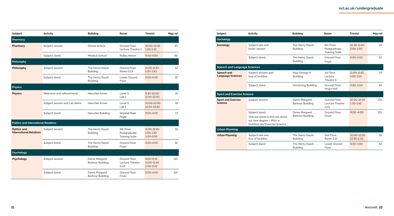| Subject                                               | Activity                     | <b>Building</b>                          | Room                                                | Time(s)                                       | Map ref |
|-------------------------------------------------------|------------------------------|------------------------------------------|-----------------------------------------------------|-----------------------------------------------|---------|
| Pharmacy                                              |                              |                                          |                                                     |                                               |         |
| Pharmacy                                              | Subject session              | <b>Dental School</b>                     | Ground Floor.<br>Lecture Theatre C                  | 10.00-10.45<br>1.00-1.45                      | 63      |
|                                                       | Subject stand                | <b>Medical School</b>                    | <b>Ridley Atrium</b>                                | $9.00 - 4.00$                                 | 60      |
| Philosophy                                            |                              |                                          |                                                     |                                               |         |
| Philosophy                                            | Subject session              | The Henry Daysh<br><b>Building</b>       | Ground Floor,<br>Room G.13                          | 11.00-11.50<br>1.00-1.50                      | 32      |
|                                                       | Subject stand                | The Henry Daysh<br><b>Building</b>       | Lower Ground<br>Floor                               | $9.00 - 4.00$                                 | 32      |
| <b>Physics</b>                                        |                              |                                          |                                                     |                                               |         |
| <b>Physics</b>                                        | Welcome and refreshments     | <b>Herschel Annex</b>                    | Level 3.<br>Lab <sub>1</sub>                        | 9.30-10.00<br>11.30-12.00                     | 18      |
|                                                       | Subject session and Lab demo | <b>Herschel Annex</b>                    | Level 3.<br>Lab <sub>1</sub>                        | 10.00-10.50<br>12.00-12.50                    | 18      |
|                                                       | Subject stand                | Herschel Building                        | <b>Ground Floor</b><br>Foyer                        | 9.00-4.00                                     | 17      |
| <b>Politics and International Relations</b>           |                              |                                          |                                                     |                                               |         |
| <b>Politics and</b><br><b>International Relations</b> | Subject session              | The Henry Daysh<br><b>Building</b>       | 6th Floor.<br>Postgraduate<br><b>Training Suite</b> | 11.30-12.20<br>1.00-1.50<br>$3.00 - 3.50$     | 32      |
|                                                       | Subject stand                | The Henry Daysh<br><b>Building</b>       | <b>Ground Floor</b><br>Foyer                        | $9.00 - 4.00$                                 | 32      |
| Psychology                                            |                              |                                          |                                                     |                                               |         |
| <b>Psychology</b>                                     | Subject session              | Dame Margaret<br><b>Barbour Building</b> | Ground Floor.<br>Lecture Theatre<br>G.01            | $9.00 - 9.45$<br>11.00-11.45<br>$2.00 - 2.45$ | 110     |
|                                                       | Subject stand                | Dame Margaret<br><b>Barbour Building</b> | <b>Ground Floor</b><br>Foyer                        | $9.00 - 4.00$                                 | 110     |

| Subject                                       | Activity                                                                                                          | <b>Building</b>                          | Room                                                | Time(s)                      | Map ref |
|-----------------------------------------------|-------------------------------------------------------------------------------------------------------------------|------------------------------------------|-----------------------------------------------------|------------------------------|---------|
| <b>Sociology</b>                              |                                                                                                                   |                                          |                                                     |                              |         |
| <b>Sociology</b>                              | Subject talk and<br>taster session                                                                                | The Henry Daysh<br><b>Building</b>       | 6th Floor.<br>Postgraduate<br><b>Training Suite</b> | 10.30-11.20<br>$2.00 - 2.50$ | 32      |
|                                               | Subject stand                                                                                                     | The Henry Daysh<br><b>Building</b>       | <b>Ground Floor</b><br>Foyer                        | $9.00 - 4.00$                | 32      |
| <b>Speech and Language Sciences</b>           |                                                                                                                   |                                          |                                                     |                              |         |
| <b>Speech and</b><br><b>Language Sciences</b> | Subject session and<br>tour of facilities                                                                         | King George VI<br><b>Building</b>        | 1st Floor.<br>Lecture<br>Theatre 6                  | 11.00-11.50<br>1.00-1.50     | 19      |
|                                               | Subject stand                                                                                                     | Armstrong Building                       | Ground Floor.<br>King's Hall                        | $9.00 - 4.00$                | 22      |
| <b>Sport and Exercise Science</b>             |                                                                                                                   |                                          |                                                     |                              |         |
| <b>Sport and Exercise</b><br><b>Science</b>   | Subject session                                                                                                   | Dame Margaret<br><b>Barbour Building</b> | Ground Floor.<br>Lecture Theatre<br>G.01            | 10.00-10.45<br>1.00-1.45     | 110     |
|                                               | Subject stand<br>Visit our stand to find out about<br>our new degree - MSci in<br>Nutrition and Exercise Science. | Dame Margaret<br><b>Barbour Building</b> | <b>Ground Floor</b><br>Foyer                        | $9.00 - 4.00$                | 110     |
| <b>Urban Planning</b>                         |                                                                                                                   |                                          |                                                     |                              |         |
| <b>Urban Planning</b>                         | Subject talk and<br>tour of facilities                                                                            | The Henry Daysh<br><b>Building</b>       | 2nd Floor.<br>Room 2.12                             | 10.00-10.50<br>12.30-2.20    | 32      |
|                                               | Subject stand                                                                                                     | The Henry Daysh<br><b>Building</b>       | Lower Ground<br>Floor                               | $9.00 - 4.00$                | 32      |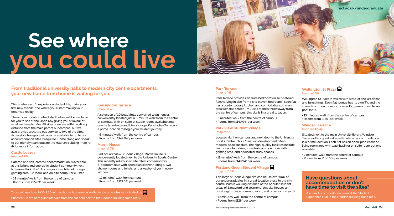

This is where you'll experience student life, make your first new friends, and where you'll start making your dreams a reality.

The accommodation sites listed below will be available for you to see at the Open Day giving you a flavour of what we have to offer. All sites open are within walking distance from the main part of our campus, but we also provide a shuttle bus service to two of the sites. Accessible transport will also be available to go to our accommodation sites if required. Come along and speak to our friendly team outside the Hadrian Building (map ref 4) for more information.

#### **Castle Leazes (map ref 75)**

Catered and self-catered accommodation is available at this bright and energetic student community next to Leazes Park. You'll find a spacious chill-out lounge, gaming area, TV room, and on-site computer cluster.

- 18 minutes' walk from the centre of campus
- Rooms from £95.83\* per week

#### **Kensington Terrace (map ref 46)**

A selection of 10 beautifully converted town houses conveniently located just a 5-minute walk from the centre of campus. With en suite or studio rooms available and on-site laundrette and bike storage; Kensington Terrace is a prime location to begin your student journey.

- 5 minutes' walk from the centre of campus
- Rooms from £149.94\* per week

#### **Marris House (map ref 71)**

Part of Park View Student Village, Marris House is conveniently located next to the University Sports Centre. This recently refurbished site offers contemporary 6-bedroom flats with open plan kitchen/lounge, two shower rooms and toilets, and a washer-dryer in every kitchen.

• 12 minutes' walk from campus • Rooms from £113.68\* per week

#### **Park Terrace (map ref 45)**

Tours will run from 9.00-3.30 with a shuttle bus service available to some sites as indicated by Buses will leave at regular intervals from the car park next to the Hadrian Building (map ref 4).

Park Terrace provides en suite bedrooms in self-catered flats varying in size from six to eleven bedrooms. Each flat has a contemporary kitchen and comfortable common area with flat-screen TV. Just a stone's throw away from the centre of campus, this site is in a great location.

- 6 minutes' walk from the centre of campus
- Rooms from £149.94\* per week

#### **Park View Student Village (map ref 73)**

Located right on campus and next door to the University Sports Centre. This £75 million development offers modern, spacious flats. The high-quality facilities include two on-site laundries, a central common room with gaming area, and dedicated study spaces.

- 11 minutes' walk from the centre of campus
- Rooms from £149.94\* per week

#### **Portland Green Student Village (map ref 101)**

This large student village site can house over 900 of our undergraduates in a great location close to the city centre. Within walking distance of the popular student areas of Sandyford and Jesmond, this site houses an on-site gym, large common room, and private courtyards.

- 19 minutes' walk from the centre of campus
- Rooms from £128\* per week

#### **Wellington St Plaza (map ref 56)**

Wellington St Plaza is stylish with state-of-the-art décor and furnishings. Each flat lounge has its own TV, and the shared common room includes a TV, games console, and pool table.

- 13 minutes' walk from the centre of campus
- Rooms from £139\* per week

#### **Windsor Terrace (map ref 42-44)**

Situated next to the main University library, Windsor Terrace offers great value self-catered accommodation in a prime location. Each flat has an open-plan kitchen/ living room area with washbasin or en suite room options available.

- 7 minutes' walk from the centre of campus
- Rooms from £108.50\* per week

# **See where you could live**

## **Have questions about accommodation or don't have time to visit the sites?**

Visit our Accommodation team at the Student Experience Hub in the Hadrian Building (map ref 4).

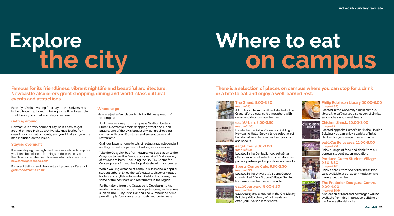**Famous for its friendliness, vibrant nightlife and beautiful architecture, Newcastle also offers great shopping, dining and world-class cultural events and attractions.** 

Even if you're just visiting for a day, as the University is in the city centre, it's worth taking some time to sample what the city has to offer while you're here.

#### **Getting around**

Newcastle is a very compact city, so it's easy to get around on foot. Pick up a University map leaflet from one of our information points, and you'll find a city-centre map included on the inside.

#### **Staying overnight**

If you're staying overnight and have more time to explore, you'll find lots of ideas for things to do in the city on the NewcastleGateshead tourism information website **newcastlegateshead.com**

For event listings and Newcastle city-centre offers visit **getintonewcastle.co.uk**

#### **Where to go**

Here are just a few places to visit within easy reach of the campus:

• Just minutes away from campus is Northumberland Street, Newcastle's main shopping street and Eldon Square, one of the UK's largest city-centre shopping centres, with over 150 stores and several cafés and restaurants

Located in the Urban Sciences Building in Newcastle Helix. Enjoy a large selection of barista coffees, deli sandwiches, paninis  $\blacksquare$  and snacks.

• Grainger Town is home to lots of restaurants, independent and high street shops, and a bustling indoor market

- Take the QuayLink bus from Haymarket Bus Station to the Quayside to see the famous bridges. You'll find a variety of attractions here – including the BALTIC Centre for Contemporary Art and the Sage Gateshead music centre
- Within walking distance of campus is Jesmond, a popular student suburb. Enjoy the café culture, discover vintage traders and stylish independent fashion boutiques, plus some of the best bars and restaurants in the region
- Further along from the Quayside is Ouseburn a hip residential area home to a thriving arts scene, with venues such as The Cluny, Tyne Bar and The Cumberland Arms providing platforms for artists, poets and performers

## **There is a selection of places on campus where you can stop for a drink or a bite to eat and enjoy a well-earned rest.**



#### **The Grand, 9.00-3.30 (map ref 8)**

A firm favourite with staff and students, The Grand offers a cosy café atmosphere with drinks and delicious sandwiches.

#### **eat@Urban, 9.00-3.30 (map ref 105)**



#### **eat@Bites, 9.00-3.00 (map ref 63)**



Located in the Dental School, eat@Bites offers a wonderful selection of sandwiches, paninis, pastries, jacket potatoes and snacks.

#### **Sports Centre Café, 9.30-2.30 (map ref 70)** Located in the University's Sports Centre

close to Park View Student Village. Serving hot drinks, sandwiches and snacks.

#### **eat@Courtyard, 9.00-3.30 (map ref 25)**



eat@Courtyard, is located in the Old Library Building. With plenty of hot meals on offer, you'll be spoilt for choice.

#### **Philip Robinson Library, 10.00-6.00 (map ref 35)**

Located in the University's main campus library, the café serves a selection of drinks, sandwiches, and sweet treats.



#### **Chicken Shack, 10.00-3.00 (map ref 4)**

Located opposite Luther's Bar in the Hadrian Building, you can enjoy a variety of halal chicken burgers, wraps, fries and more.



#### **eat@Castle Leazes, 11.00-3.00 (map ref 75)**

Enjoy a range of food and drink from our popular student accommodation.



#### **Portland Green Student Village, 9.30-3.30 (map ref 101)**

Enjoy a snack from one of the street food vans available at our accommodation site throughout the day.



#### **The Frederick Douglass Centre, 9.00-4.00 (map ref 106)**

A selection of food and beverages will be available from this impressive building on the Newcastle Helix site.

# **Explore the city**

# Where to eat on campus